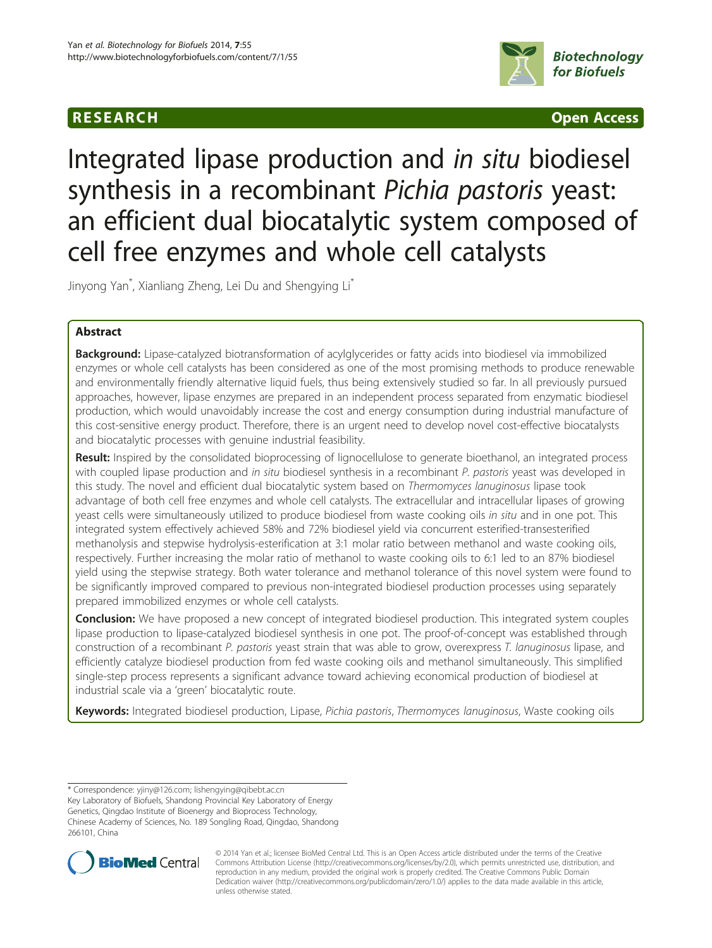# R E S EAR CH Open Access



# Integrated lipase production and in situ biodiesel synthesis in a recombinant Pichia pastoris yeast: an efficient dual biocatalytic system composed of cell free enzymes and whole cell catalysts

Jinyong Yan\* , Xianliang Zheng, Lei Du and Shengying Li\*

# Abstract

Background: Lipase-catalyzed biotransformation of acylglycerides or fatty acids into biodiesel via immobilized enzymes or whole cell catalysts has been considered as one of the most promising methods to produce renewable and environmentally friendly alternative liquid fuels, thus being extensively studied so far. In all previously pursued approaches, however, lipase enzymes are prepared in an independent process separated from enzymatic biodiesel production, which would unavoidably increase the cost and energy consumption during industrial manufacture of this cost-sensitive energy product. Therefore, there is an urgent need to develop novel cost-effective biocatalysts and biocatalytic processes with genuine industrial feasibility.

Result: Inspired by the consolidated bioprocessing of lignocellulose to generate bioethanol, an integrated process with coupled lipase production and in situ biodiesel synthesis in a recombinant P. pastoris yeast was developed in this study. The novel and efficient dual biocatalytic system based on Thermomyces lanuginosus lipase took advantage of both cell free enzymes and whole cell catalysts. The extracellular and intracellular lipases of growing yeast cells were simultaneously utilized to produce biodiesel from waste cooking oils in situ and in one pot. This integrated system effectively achieved 58% and 72% biodiesel yield via concurrent esterified-transesterified methanolysis and stepwise hydrolysis-esterification at 3:1 molar ratio between methanol and waste cooking oils, respectively. Further increasing the molar ratio of methanol to waste cooking oils to 6:1 led to an 87% biodiesel yield using the stepwise strategy. Both water tolerance and methanol tolerance of this novel system were found to be significantly improved compared to previous non-integrated biodiesel production processes using separately prepared immobilized enzymes or whole cell catalysts.

Conclusion: We have proposed a new concept of integrated biodiesel production. This integrated system couples lipase production to lipase-catalyzed biodiesel synthesis in one pot. The proof-of-concept was established through construction of a recombinant P. pastoris yeast strain that was able to grow, overexpress T. lanuginosus lipase, and efficiently catalyze biodiesel production from fed waste cooking oils and methanol simultaneously. This simplified single-step process represents a significant advance toward achieving economical production of biodiesel at industrial scale via a 'green' biocatalytic route.

Keywords: Integrated biodiesel production, Lipase, Pichia pastoris, Thermomyces lanuginosus, Waste cooking oils

\* Correspondence: [yjiny@126.com](mailto:yjiny@126.com); [lishengying@qibebt.ac.cn](mailto:lishengying@qibebt.ac.cn) Key Laboratory of Biofuels, Shandong Provincial Key Laboratory of Energy Genetics, Qingdao Institute of Bioenergy and Bioprocess Technology, Chinese Academy of Sciences, No. 189 Songling Road, Qingdao, Shandong 266101, China



© 2014 Yan et al.; licensee BioMed Central Ltd. This is an Open Access article distributed under the terms of the Creative Commons Attribution License [\(http://creativecommons.org/licenses/by/2.0\)](http://creativecommons.org/licenses/by/2.0), which permits unrestricted use, distribution, and reproduction in any medium, provided the original work is properly credited. The Creative Commons Public Domain Dedication waiver [\(http://creativecommons.org/publicdomain/zero/1.0/](http://creativecommons.org/publicdomain/zero/1.0/)) applies to the data made available in this article, unless otherwise stated.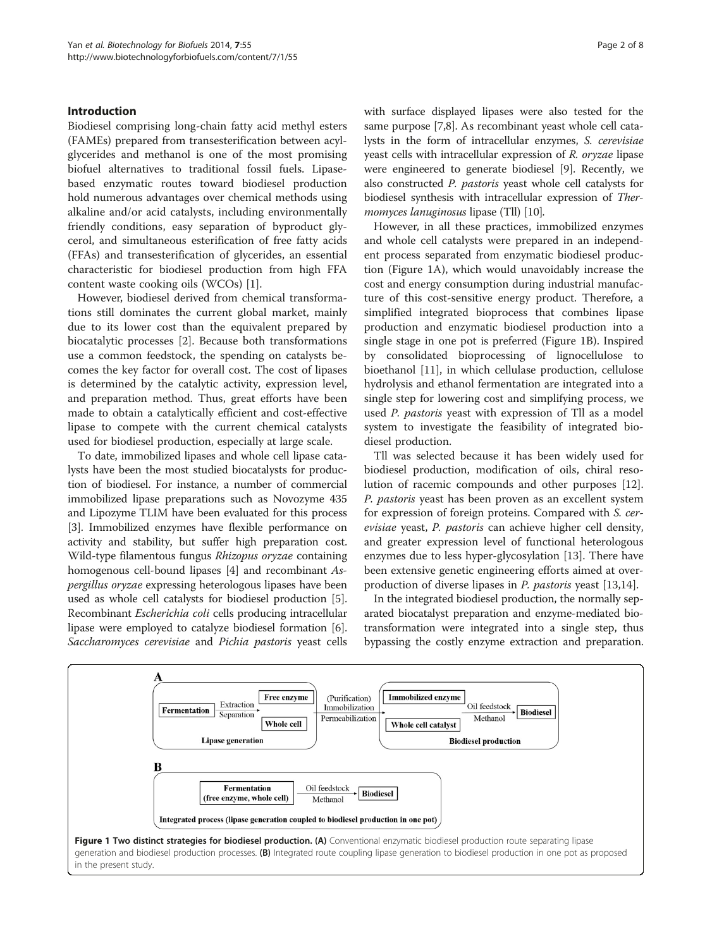# Introduction

Biodiesel comprising long-chain fatty acid methyl esters (FAMEs) prepared from transesterification between acylglycerides and methanol is one of the most promising biofuel alternatives to traditional fossil fuels. Lipasebased enzymatic routes toward biodiesel production hold numerous advantages over chemical methods using alkaline and/or acid catalysts, including environmentally friendly conditions, easy separation of byproduct glycerol, and simultaneous esterification of free fatty acids (FFAs) and transesterification of glycerides, an essential characteristic for biodiesel production from high FFA content waste cooking oils (WCOs) [\[1\]](#page-6-0).

However, biodiesel derived from chemical transformations still dominates the current global market, mainly due to its lower cost than the equivalent prepared by biocatalytic processes [[2](#page-7-0)]. Because both transformations use a common feedstock, the spending on catalysts becomes the key factor for overall cost. The cost of lipases is determined by the catalytic activity, expression level, and preparation method. Thus, great efforts have been made to obtain a catalytically efficient and cost-effective lipase to compete with the current chemical catalysts used for biodiesel production, especially at large scale.

To date, immobilized lipases and whole cell lipase catalysts have been the most studied biocatalysts for production of biodiesel. For instance, a number of commercial immobilized lipase preparations such as Novozyme 435 and Lipozyme TLIM have been evaluated for this process [[3\]](#page-7-0). Immobilized enzymes have flexible performance on activity and stability, but suffer high preparation cost. Wild-type filamentous fungus Rhizopus oryzae containing homogenous cell-bound lipases [\[4\]](#page-7-0) and recombinant Aspergillus oryzae expressing heterologous lipases have been used as whole cell catalysts for biodiesel production [[5](#page-7-0)]. Recombinant Escherichia coli cells producing intracellular lipase were employed to catalyze biodiesel formation [[6](#page-7-0)]. Saccharomyces cerevisiae and Pichia pastoris yeast cells with surface displayed lipases were also tested for the same purpose [\[7,8\]](#page-7-0). As recombinant yeast whole cell catalysts in the form of intracellular enzymes, S. cerevisiae yeast cells with intracellular expression of R. oryzae lipase were engineered to generate biodiesel [[9](#page-7-0)]. Recently, we also constructed P. pastoris yeast whole cell catalysts for biodiesel synthesis with intracellular expression of Ther-momyces lanuginosus lipase (Tll) [\[10](#page-7-0)].

However, in all these practices, immobilized enzymes and whole cell catalysts were prepared in an independent process separated from enzymatic biodiesel production (Figure 1A), which would unavoidably increase the cost and energy consumption during industrial manufacture of this cost-sensitive energy product. Therefore, a simplified integrated bioprocess that combines lipase production and enzymatic biodiesel production into a single stage in one pot is preferred (Figure 1B). Inspired by consolidated bioprocessing of lignocellulose to bioethanol [[11\]](#page-7-0), in which cellulase production, cellulose hydrolysis and ethanol fermentation are integrated into a single step for lowering cost and simplifying process, we used *P. pastoris* yeast with expression of Tll as a model system to investigate the feasibility of integrated biodiesel production.

Tll was selected because it has been widely used for biodiesel production, modification of oils, chiral resolution of racemic compounds and other purposes [\[12](#page-7-0)]. P. pastoris yeast has been proven as an excellent system for expression of foreign proteins. Compared with S. cerevisiae yeast, P. pastoris can achieve higher cell density, and greater expression level of functional heterologous enzymes due to less hyper-glycosylation [[13](#page-7-0)]. There have been extensive genetic engineering efforts aimed at overproduction of diverse lipases in P. pastoris yeast [[13,14](#page-7-0)].

In the integrated biodiesel production, the normally separated biocatalyst preparation and enzyme-mediated biotransformation were integrated into a single step, thus bypassing the costly enzyme extraction and preparation.

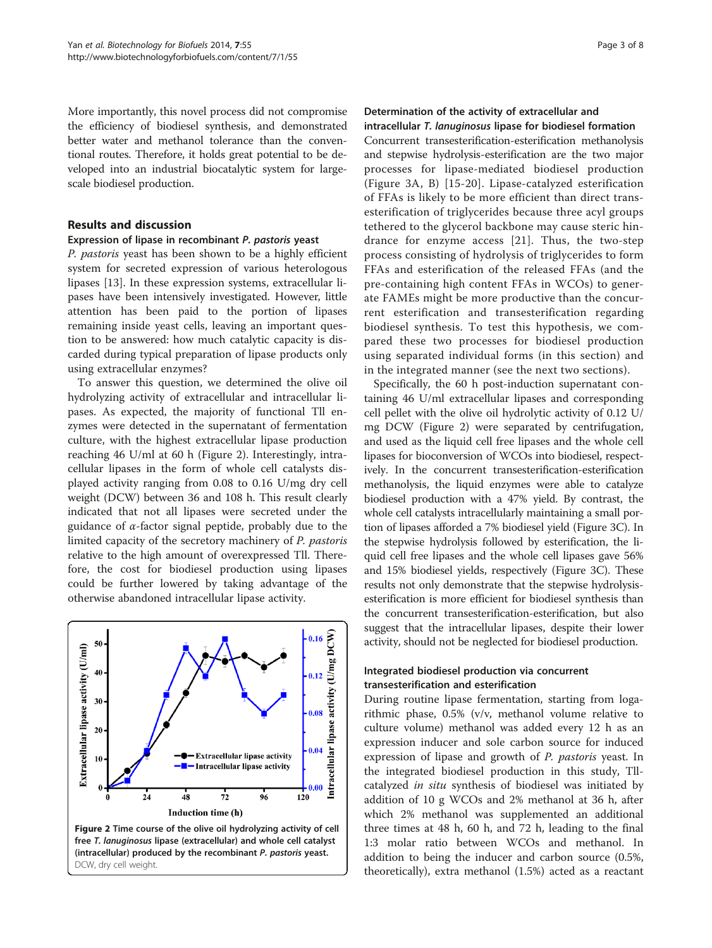More importantly, this novel process did not compromise the efficiency of biodiesel synthesis, and demonstrated better water and methanol tolerance than the conventional routes. Therefore, it holds great potential to be developed into an industrial biocatalytic system for largescale biodiesel production.

# Results and discussion

# Expression of lipase in recombinant P. pastoris yeast

P. pastoris yeast has been shown to be a highly efficient system for secreted expression of various heterologous lipases [[13\]](#page-7-0). In these expression systems, extracellular lipases have been intensively investigated. However, little attention has been paid to the portion of lipases remaining inside yeast cells, leaving an important question to be answered: how much catalytic capacity is discarded during typical preparation of lipase products only using extracellular enzymes?

To answer this question, we determined the olive oil hydrolyzing activity of extracellular and intracellular lipases. As expected, the majority of functional Tll enzymes were detected in the supernatant of fermentation culture, with the highest extracellular lipase production reaching 46 U/ml at 60 h (Figure 2). Interestingly, intracellular lipases in the form of whole cell catalysts displayed activity ranging from 0.08 to 0.16 U/mg dry cell weight (DCW) between 36 and 108 h. This result clearly indicated that not all lipases were secreted under the guidance of  $\alpha$ -factor signal peptide, probably due to the limited capacity of the secretory machinery of P. pastoris relative to the high amount of overexpressed Tll. Therefore, the cost for biodiesel production using lipases could be further lowered by taking advantage of the otherwise abandoned intracellular lipase activity.



# Determination of the activity of extracellular and intracellular T. lanuginosus lipase for biodiesel formation

Concurrent transesterification-esterification methanolysis and stepwise hydrolysis-esterification are the two major processes for lipase-mediated biodiesel production (Figure [3](#page-3-0)A, B) [\[15-20\]](#page-7-0). Lipase-catalyzed esterification of FFAs is likely to be more efficient than direct transesterification of triglycerides because three acyl groups tethered to the glycerol backbone may cause steric hindrance for enzyme access [[21](#page-7-0)]. Thus, the two-step process consisting of hydrolysis of triglycerides to form FFAs and esterification of the released FFAs (and the pre-containing high content FFAs in WCOs) to generate FAMEs might be more productive than the concurrent esterification and transesterification regarding biodiesel synthesis. To test this hypothesis, we compared these two processes for biodiesel production using separated individual forms (in this section) and in the integrated manner (see the next two sections).

Specifically, the 60 h post-induction supernatant containing 46 U/ml extracellular lipases and corresponding cell pellet with the olive oil hydrolytic activity of 0.12 U/ mg DCW (Figure 2) were separated by centrifugation, and used as the liquid cell free lipases and the whole cell lipases for bioconversion of WCOs into biodiesel, respectively. In the concurrent transesterification-esterification methanolysis, the liquid enzymes were able to catalyze biodiesel production with a 47% yield. By contrast, the whole cell catalysts intracellularly maintaining a small portion of lipases afforded a 7% biodiesel yield (Figure [3](#page-3-0)C). In the stepwise hydrolysis followed by esterification, the liquid cell free lipases and the whole cell lipases gave 56% and 15% biodiesel yields, respectively (Figure [3C](#page-3-0)). These results not only demonstrate that the stepwise hydrolysisesterification is more efficient for biodiesel synthesis than the concurrent transesterification-esterification, but also suggest that the intracellular lipases, despite their lower activity, should not be neglected for biodiesel production.

# Integrated biodiesel production via concurrent transesterification and esterification

During routine lipase fermentation, starting from logarithmic phase, 0.5% (v/v, methanol volume relative to culture volume) methanol was added every 12 h as an expression inducer and sole carbon source for induced expression of lipase and growth of *P. pastoris* yeast. In the integrated biodiesel production in this study, Tllcatalyzed in situ synthesis of biodiesel was initiated by addition of 10 g WCOs and 2% methanol at 36 h, after which 2% methanol was supplemented an additional three times at 48 h, 60 h, and 72 h, leading to the final 1:3 molar ratio between WCOs and methanol. In addition to being the inducer and carbon source (0.5%, theoretically), extra methanol (1.5%) acted as a reactant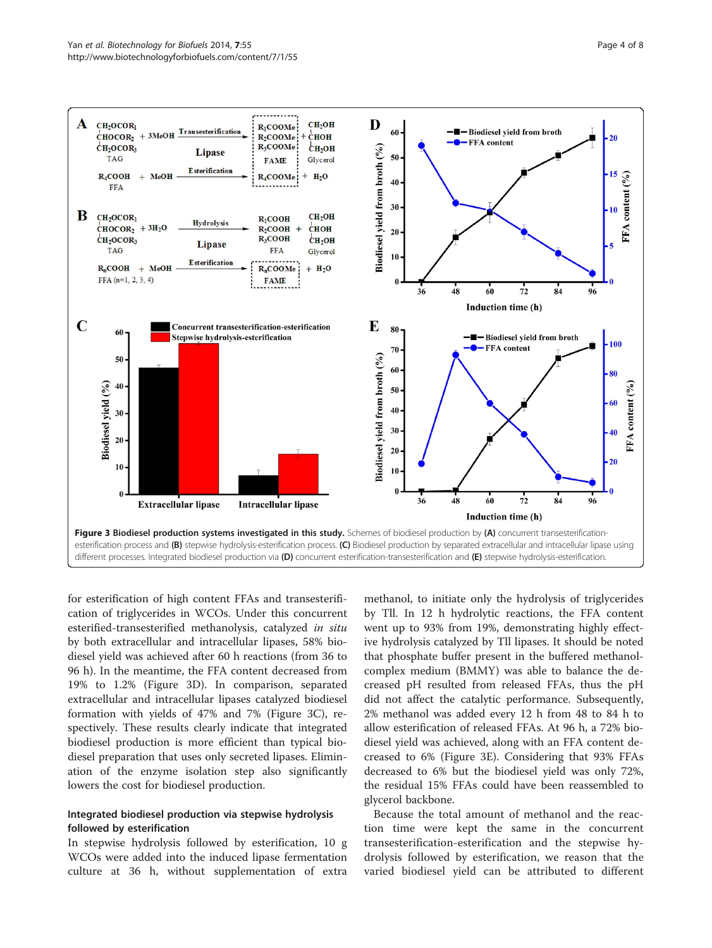<span id="page-3-0"></span>

for esterification of high content FFAs and transesterification of triglycerides in WCOs. Under this concurrent esterified-transesterified methanolysis, catalyzed in situ by both extracellular and intracellular lipases, 58% biodiesel yield was achieved after 60 h reactions (from 36 to 96 h). In the meantime, the FFA content decreased from 19% to 1.2% (Figure 3D). In comparison, separated extracellular and intracellular lipases catalyzed biodiesel formation with yields of 47% and 7% (Figure 3C), respectively. These results clearly indicate that integrated biodiesel production is more efficient than typical biodiesel preparation that uses only secreted lipases. Elimination of the enzyme isolation step also significantly lowers the cost for biodiesel production.

# Integrated biodiesel production via stepwise hydrolysis followed by esterification

In stepwise hydrolysis followed by esterification, 10 g WCOs were added into the induced lipase fermentation culture at 36 h, without supplementation of extra

methanol, to initiate only the hydrolysis of triglycerides by Tll. In 12 h hydrolytic reactions, the FFA content went up to 93% from 19%, demonstrating highly effective hydrolysis catalyzed by Tll lipases. It should be noted that phosphate buffer present in the buffered methanolcomplex medium (BMMY) was able to balance the decreased pH resulted from released FFAs, thus the pH did not affect the catalytic performance. Subsequently, 2% methanol was added every 12 h from 48 to 84 h to allow esterification of released FFAs. At 96 h, a 72% biodiesel yield was achieved, along with an FFA content decreased to 6% (Figure 3E). Considering that 93% FFAs decreased to 6% but the biodiesel yield was only 72%, the residual 15% FFAs could have been reassembled to glycerol backbone.

Because the total amount of methanol and the reaction time were kept the same in the concurrent transesterification-esterification and the stepwise hydrolysis followed by esterification, we reason that the varied biodiesel yield can be attributed to different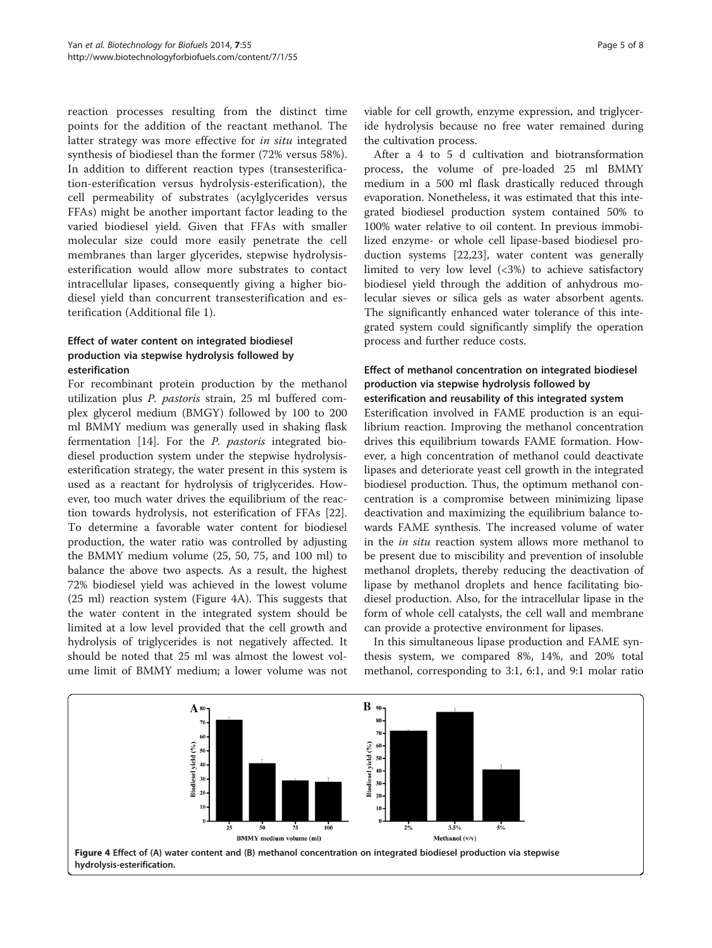<span id="page-4-0"></span>reaction processes resulting from the distinct time points for the addition of the reactant methanol. The latter strategy was more effective for in situ integrated synthesis of biodiesel than the former (72% versus 58%). In addition to different reaction types (transesterification-esterification versus hydrolysis-esterification), the cell permeability of substrates (acylglycerides versus FFAs) might be another important factor leading to the varied biodiesel yield. Given that FFAs with smaller molecular size could more easily penetrate the cell membranes than larger glycerides, stepwise hydrolysisesterification would allow more substrates to contact intracellular lipases, consequently giving a higher biodiesel yield than concurrent transesterification and esterification (Additional file [1](#page-6-0)).

# Effect of water content on integrated biodiesel production via stepwise hydrolysis followed by esterification

For recombinant protein production by the methanol utilization plus P. pastoris strain, 25 ml buffered complex glycerol medium (BMGY) followed by 100 to 200 ml BMMY medium was generally used in shaking flask fermentation [\[14\]](#page-7-0). For the P. pastoris integrated biodiesel production system under the stepwise hydrolysisesterification strategy, the water present in this system is used as a reactant for hydrolysis of triglycerides. However, too much water drives the equilibrium of the reaction towards hydrolysis, not esterification of FFAs [\[22](#page-7-0)]. To determine a favorable water content for biodiesel production, the water ratio was controlled by adjusting the BMMY medium volume (25, 50, 75, and 100 ml) to balance the above two aspects. As a result, the highest 72% biodiesel yield was achieved in the lowest volume (25 ml) reaction system (Figure 4A). This suggests that the water content in the integrated system should be limited at a low level provided that the cell growth and hydrolysis of triglycerides is not negatively affected. It should be noted that 25 ml was almost the lowest volume limit of BMMY medium; a lower volume was not viable for cell growth, enzyme expression, and triglyceride hydrolysis because no free water remained during the cultivation process.

After a 4 to 5 d cultivation and biotransformation process, the volume of pre-loaded 25 ml BMMY medium in a 500 ml flask drastically reduced through evaporation. Nonetheless, it was estimated that this integrated biodiesel production system contained 50% to 100% water relative to oil content. In previous immobilized enzyme- or whole cell lipase-based biodiesel production systems [\[22,23](#page-7-0)], water content was generally limited to very low level (<3%) to achieve satisfactory biodiesel yield through the addition of anhydrous molecular sieves or silica gels as water absorbent agents. The significantly enhanced water tolerance of this integrated system could significantly simplify the operation process and further reduce costs.

# Effect of methanol concentration on integrated biodiesel production via stepwise hydrolysis followed by esterification and reusability of this integrated system

Esterification involved in FAME production is an equilibrium reaction. Improving the methanol concentration drives this equilibrium towards FAME formation. However, a high concentration of methanol could deactivate lipases and deteriorate yeast cell growth in the integrated biodiesel production. Thus, the optimum methanol concentration is a compromise between minimizing lipase deactivation and maximizing the equilibrium balance towards FAME synthesis. The increased volume of water in the in situ reaction system allows more methanol to be present due to miscibility and prevention of insoluble methanol droplets, thereby reducing the deactivation of lipase by methanol droplets and hence facilitating biodiesel production. Also, for the intracellular lipase in the form of whole cell catalysts, the cell wall and membrane can provide a protective environment for lipases.

In this simultaneous lipase production and FAME synthesis system, we compared 8%, 14%, and 20% total methanol, corresponding to 3:1, 6:1, and 9:1 molar ratio

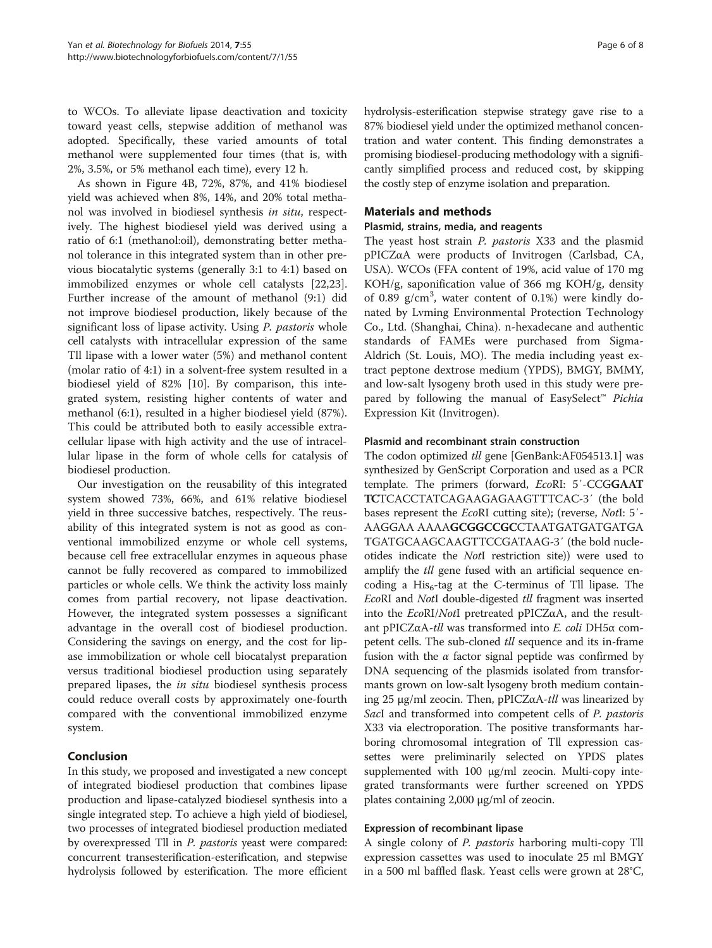to WCOs. To alleviate lipase deactivation and toxicity toward yeast cells, stepwise addition of methanol was adopted. Specifically, these varied amounts of total methanol were supplemented four times (that is, with 2%, 3.5%, or 5% methanol each time), every 12 h.

As shown in Figure [4](#page-4-0)B, 72%, 87%, and 41% biodiesel yield was achieved when 8%, 14%, and 20% total methanol was involved in biodiesel synthesis in situ, respectively. The highest biodiesel yield was derived using a ratio of 6:1 (methanol:oil), demonstrating better methanol tolerance in this integrated system than in other previous biocatalytic systems (generally 3:1 to 4:1) based on immobilized enzymes or whole cell catalysts [\[22,23](#page-7-0)]. Further increase of the amount of methanol (9:1) did not improve biodiesel production, likely because of the significant loss of lipase activity. Using P. pastoris whole cell catalysts with intracellular expression of the same Tll lipase with a lower water (5%) and methanol content (molar ratio of 4:1) in a solvent-free system resulted in a biodiesel yield of 82% [\[10](#page-7-0)]. By comparison, this integrated system, resisting higher contents of water and methanol (6:1), resulted in a higher biodiesel yield (87%). This could be attributed both to easily accessible extracellular lipase with high activity and the use of intracellular lipase in the form of whole cells for catalysis of biodiesel production.

Our investigation on the reusability of this integrated system showed 73%, 66%, and 61% relative biodiesel yield in three successive batches, respectively. The reusability of this integrated system is not as good as conventional immobilized enzyme or whole cell systems, because cell free extracellular enzymes in aqueous phase cannot be fully recovered as compared to immobilized particles or whole cells. We think the activity loss mainly comes from partial recovery, not lipase deactivation. However, the integrated system possesses a significant advantage in the overall cost of biodiesel production. Considering the savings on energy, and the cost for lipase immobilization or whole cell biocatalyst preparation versus traditional biodiesel production using separately prepared lipases, the in situ biodiesel synthesis process could reduce overall costs by approximately one-fourth compared with the conventional immobilized enzyme system.

# Conclusion

In this study, we proposed and investigated a new concept of integrated biodiesel production that combines lipase production and lipase-catalyzed biodiesel synthesis into a single integrated step. To achieve a high yield of biodiesel, two processes of integrated biodiesel production mediated by overexpressed Tll in *P. pastoris* yeast were compared: concurrent transesterification-esterification, and stepwise hydrolysis followed by esterification. The more efficient hydrolysis-esterification stepwise strategy gave rise to a 87% biodiesel yield under the optimized methanol concentration and water content. This finding demonstrates a promising biodiesel-producing methodology with a significantly simplified process and reduced cost, by skipping the costly step of enzyme isolation and preparation.

# Materials and methods

#### Plasmid, strains, media, and reagents

The yeast host strain P. pastoris X33 and the plasmid pPICZαA were products of Invitrogen (Carlsbad, CA, USA). WCOs (FFA content of 19%, acid value of 170 mg KOH/g, saponification value of 366 mg KOH/g, density of 0.89 g/cm<sup>3</sup>, water content of 0.1%) were kindly donated by Lvming Environmental Protection Technology Co., Ltd. (Shanghai, China). n-hexadecane and authentic standards of FAMEs were purchased from Sigma-Aldrich (St. Louis, MO). The media including yeast extract peptone dextrose medium (YPDS), BMGY, BMMY, and low-salt lysogeny broth used in this study were prepared by following the manual of EasySelect<sup>™</sup> Pichia Expression Kit (Invitrogen).

#### Plasmid and recombinant strain construction

The codon optimized tll gene [GenBank:AF054513.1] was synthesized by GenScript Corporation and used as a PCR template. The primers (forward, EcoRI: 5'-CCGGAAT TCTCACCTATCAGAAGAGAAGTTTCAC-3′ (the bold bases represent the EcoRI cutting site); (reverse, NotI: 5′- AAGGAA AAAAGCGGCCGCCTAATGATGATGATGA TGATGCAAGCAAGTTCCGATAAG-3′ (the bold nucleotides indicate the NotI restriction site)) were used to amplify the *tll* gene fused with an artificial sequence encoding a His<sub>6</sub>-tag at the C-terminus of Tll lipase. The EcoRI and NotI double-digested tll fragment was inserted into the  $EcoRI/NotI$  pretreated pPICZ $\alpha$ A, and the resultant pPICZαA-tll was transformed into E. coli DH5<sup>α</sup> competent cells. The sub-cloned tll sequence and its in-frame fusion with the  $\alpha$  factor signal peptide was confirmed by DNA sequencing of the plasmids isolated from transformants grown on low-salt lysogeny broth medium containing 25 μg/ml zeocin. Then, pPICZαA-*tll* was linearized by SacI and transformed into competent cells of *P. pastoris* X33 via electroporation. The positive transformants harboring chromosomal integration of Tll expression cassettes were preliminarily selected on YPDS plates supplemented with 100 μg/ml zeocin. Multi-copy integrated transformants were further screened on YPDS plates containing 2,000 μg/ml of zeocin.

#### Expression of recombinant lipase

A single colony of P. pastoris harboring multi-copy Tll expression cassettes was used to inoculate 25 ml BMGY in a 500 ml baffled flask. Yeast cells were grown at 28°C,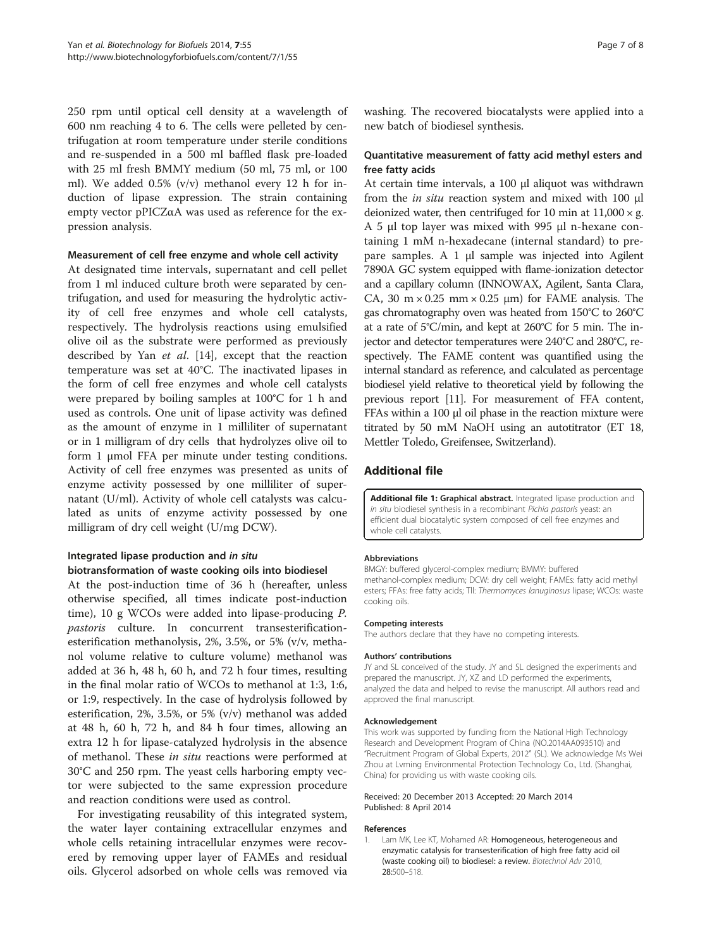<span id="page-6-0"></span>250 rpm until optical cell density at a wavelength of 600 nm reaching 4 to 6. The cells were pelleted by centrifugation at room temperature under sterile conditions and re-suspended in a 500 ml baffled flask pre-loaded with 25 ml fresh BMMY medium (50 ml, 75 ml, or 100 ml). We added 0.5% (v/v) methanol every 12 h for induction of lipase expression. The strain containing empty vector pPICZαA was used as reference for the expression analysis.

#### Measurement of cell free enzyme and whole cell activity

At designated time intervals, supernatant and cell pellet from 1 ml induced culture broth were separated by centrifugation, and used for measuring the hydrolytic activity of cell free enzymes and whole cell catalysts, respectively. The hydrolysis reactions using emulsified olive oil as the substrate were performed as previously described by Yan et al. [[14](#page-7-0)], except that the reaction temperature was set at 40°C. The inactivated lipases in the form of cell free enzymes and whole cell catalysts were prepared by boiling samples at 100°C for 1 h and used as controls. One unit of lipase activity was defined as the amount of enzyme in 1 milliliter of supernatant or in 1 milligram of dry cells that hydrolyzes olive oil to form 1 μmol FFA per minute under testing conditions. Activity of cell free enzymes was presented as units of enzyme activity possessed by one milliliter of supernatant (U/ml). Activity of whole cell catalysts was calculated as units of enzyme activity possessed by one milligram of dry cell weight (U/mg DCW).

# Integrated lipase production and in situ biotransformation of waste cooking oils into biodiesel

At the post-induction time of 36 h (hereafter, unless otherwise specified, all times indicate post-induction time), 10 g WCOs were added into lipase-producing P. pastoris culture. In concurrent transesterificationesterification methanolysis, 2%, 3.5%, or 5% (v/v, methanol volume relative to culture volume) methanol was added at 36 h, 48 h, 60 h, and 72 h four times, resulting in the final molar ratio of WCOs to methanol at 1:3, 1:6, or 1:9, respectively. In the case of hydrolysis followed by esterification, 2%, 3.5%, or 5% (v/v) methanol was added at 48 h, 60 h, 72 h, and 84 h four times, allowing an extra 12 h for lipase-catalyzed hydrolysis in the absence of methanol. These in situ reactions were performed at 30°C and 250 rpm. The yeast cells harboring empty vector were subjected to the same expression procedure and reaction conditions were used as control.

For investigating reusability of this integrated system, the water layer containing extracellular enzymes and whole cells retaining intracellular enzymes were recovered by removing upper layer of FAMEs and residual oils. Glycerol adsorbed on whole cells was removed via washing. The recovered biocatalysts were applied into a new batch of biodiesel synthesis.

# Quantitative measurement of fatty acid methyl esters and free fatty acids

At certain time intervals, a 100 μl aliquot was withdrawn from the in situ reaction system and mixed with 100 <sup>μ</sup><sup>l</sup> deionized water, then centrifuged for 10 min at  $11,000 \times g$ . A 5 μl top layer was mixed with 995 μl n-hexane containing 1 mM n-hexadecane (internal standard) to prepare samples. A 1 μl sample was injected into Agilent 7890A GC system equipped with flame-ionization detector and a capillary column (INNOWAX, Agilent, Santa Clara, CA, 30 m  $\times$  0.25 mm  $\times$  0.25 µm) for FAME analysis. The gas chromatography oven was heated from 150°C to 260°C at a rate of 5°C/min, and kept at 260°C for 5 min. The injector and detector temperatures were 240°C and 280°C, respectively. The FAME content was quantified using the internal standard as reference, and calculated as percentage biodiesel yield relative to theoretical yield by following the previous report [\[11\]](#page-7-0). For measurement of FFA content, FFAs within a 100 μl oil phase in the reaction mixture were titrated by 50 mM NaOH using an autotitrator (ET 18, Mettler Toledo, Greifensee, Switzerland).

# Additional file

[Additional file 1:](http://www.biomedcentral.com/content/supplementary/1754-6834-7-55-S1.pdf) Graphical abstract. Integrated lipase production and in situ biodiesel synthesis in a recombinant Pichia pastoris yeast: an efficient dual biocatalytic system composed of cell free enzymes and whole cell catalysts.

#### Abbreviations

BMGY: buffered glycerol-complex medium; BMMY: buffered methanol-complex medium; DCW: dry cell weight; FAMEs: fatty acid methyl esters; FFAs: free fatty acids; Tll: Thermomyces lanuginosus lipase; WCOs: waste cooking oils.

#### Competing interests

The authors declare that they have no competing interests.

#### Authors' contributions

JY and SL conceived of the study. JY and SL designed the experiments and prepared the manuscript. JY, XZ and LD performed the experiments, analyzed the data and helped to revise the manuscript. All authors read and approved the final manuscript.

#### Acknowledgement

This work was supported by funding from the National High Technology Research and Development Program of China (NO.2014AA093510) and "Recruitment Program of Global Experts, 2012" (SL). We acknowledge Ms Wei Zhou at Lvming Environmental Protection Technology Co., Ltd. (Shanghai, China) for providing us with waste cooking oils.

#### Received: 20 December 2013 Accepted: 20 March 2014 Published: 8 April 2014

#### References

1. Lam MK, Lee KT, Mohamed AR: Homogeneous, heterogeneous and enzymatic catalysis for transesterification of high free fatty acid oil (waste cooking oil) to biodiesel: a review. Biotechnol Adv 2010, 28:500–518.